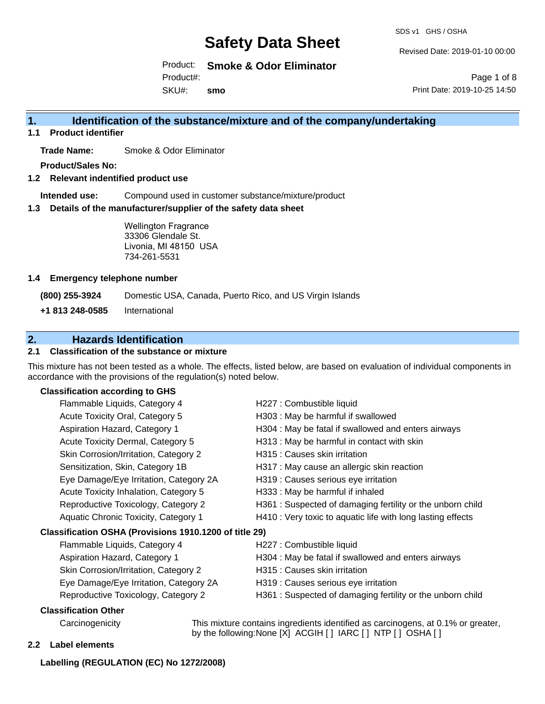SDS v1 GHS / OSHA

Revised Date: 2019-01-10 00:00

Product: **Smoke & Odor Eliminator** SKU#: Product#: **smo**

Page 1 of 8 Print Date: 2019-10-25 14:50

## **1. Identification of the substance/mixture and of the company/undertaking**

**1.1 Product identifier**

**Trade Name:** Smoke & Odor Eliminator

**Product/Sales No:**

**1.2 Relevant indentified product use**

**Intended use:** Compound used in customer substance/mixture/product

**1.3 Details of the manufacturer/supplier of the safety data sheet**

Wellington Fragrance 33306 Glendale St. Livonia, MI 48150 USA 734-261-5531

#### **1.4 Emergency telephone number**

**(800) 255-3924** Domestic USA, Canada, Puerto Rico, and US Virgin Islands

**+1 813 248-0585** International

## **2. Hazards Identification**

## **2.1 Classification of the substance or mixture**

This mixture has not been tested as a whole. The effects, listed below, are based on evaluation of individual components in accordance with the provisions of the regulation(s) noted below.

## **Classification according to GHS**

| Flammable Liquids, Category 4                                                                                                                                                                                                  | H227 : Combustible liquid                                   |
|--------------------------------------------------------------------------------------------------------------------------------------------------------------------------------------------------------------------------------|-------------------------------------------------------------|
| Acute Toxicity Oral, Category 5                                                                                                                                                                                                | H303 : May be harmful if swallowed                          |
| Aspiration Hazard, Category 1                                                                                                                                                                                                  | H304 : May be fatal if swallowed and enters airways         |
| Acute Toxicity Dermal, Category 5                                                                                                                                                                                              | H313 : May be harmful in contact with skin                  |
| Skin Corrosion/Irritation, Category 2                                                                                                                                                                                          | H315 : Causes skin irritation                               |
| Sensitization, Skin, Category 1B                                                                                                                                                                                               | H317 : May cause an allergic skin reaction                  |
| Eye Damage/Eye Irritation, Category 2A                                                                                                                                                                                         | H319 : Causes serious eye irritation                        |
| Acute Toxicity Inhalation, Category 5                                                                                                                                                                                          | H333: May be harmful if inhaled                             |
| Reproductive Toxicology, Category 2                                                                                                                                                                                            | H361 : Suspected of damaging fertility or the unborn child  |
| Aquatic Chronic Toxicity, Category 1                                                                                                                                                                                           | H410 : Very toxic to aquatic life with long lasting effects |
| Classification OSHA (Provisions 1910.1200 of title 29)                                                                                                                                                                         |                                                             |
| Flammable Liquids, Category 4                                                                                                                                                                                                  | H227 : Combustible liquid                                   |
| Aspiration Hazard, Category 1                                                                                                                                                                                                  | H304 : May be fatal if swallowed and enters airways         |
| Skin Corrosion/Irritation, Category 2                                                                                                                                                                                          | H315 : Causes skin irritation                               |
| Eye Damage/Eye Irritation, Category 2A                                                                                                                                                                                         | H319 : Causes serious eye irritation                        |
| Reproductive Toxicology, Category 2                                                                                                                                                                                            | H361: Suspected of damaging fertility or the unborn child   |
| <b>Classification Other</b>                                                                                                                                                                                                    |                                                             |
| Andrews and all the contract of the contract of the contract of the contract of the contract of the contract of the contract of the contract of the contract of the contract of the contract of the contract of the contract o |                                                             |

Carcinogenicity This mixture contains ingredients identified as carcinogens, at 0.1% or greater, by the following:None [X] ACGIH [ ] IARC [ ] NTP [ ] OSHA [ ]

### **2.2 Label elements**

### **Labelling (REGULATION (EC) No 1272/2008)**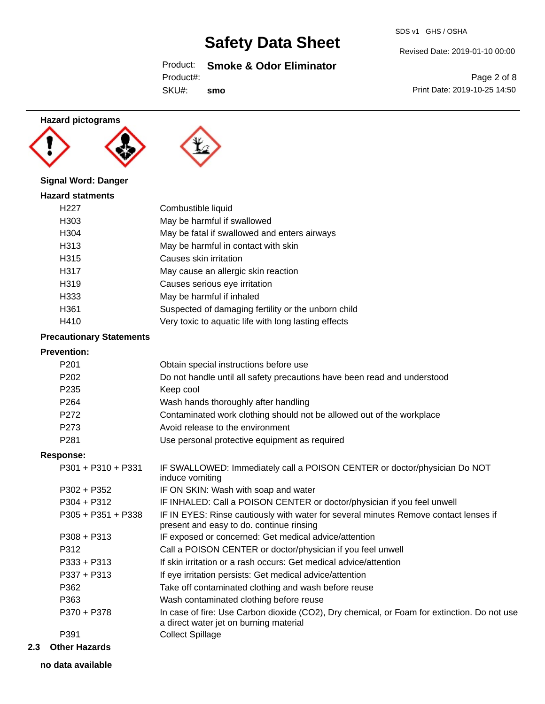Product: **Smoke & Odor Eliminator**

SKU#: **smo**

# Revised Date: 2019-01-10 00:00

SDS v1 GHS / OSHA

Page 2 of 8 Print Date: 2019-10-25 14:50

## **Hazard pictograms**





## **Signal Word: Danger**

| <b>Hazard statments</b> |                                                      |
|-------------------------|------------------------------------------------------|
| H <sub>22</sub> 7       | Combustible liquid                                   |
| H303                    | May be harmful if swallowed                          |
| H304                    | May be fatal if swallowed and enters airways         |
| H313                    | May be harmful in contact with skin                  |
| H315                    | Causes skin irritation                               |
| H317                    | May cause an allergic skin reaction                  |
| H319                    | Causes serious eye irritation                        |
| H333                    | May be harmful if inhaled                            |
| H361                    | Suspected of damaging fertility or the unborn child  |
| H410                    | Very toxic to aquatic life with long lasting effects |

## **Precautionary Statements**

### **Prevention:**

| FICVEIIUUII.         |                                                                                                                                       |
|----------------------|---------------------------------------------------------------------------------------------------------------------------------------|
| P <sub>201</sub>     | Obtain special instructions before use                                                                                                |
| P <sub>202</sub>     | Do not handle until all safety precautions have been read and understood                                                              |
| P <sub>235</sub>     | Keep cool                                                                                                                             |
| P <sub>264</sub>     | Wash hands thoroughly after handling                                                                                                  |
| P <sub>272</sub>     | Contaminated work clothing should not be allowed out of the workplace                                                                 |
| P <sub>273</sub>     | Avoid release to the environment                                                                                                      |
| P <sub>281</sub>     | Use personal protective equipment as required                                                                                         |
| <b>Response:</b>     |                                                                                                                                       |
| $P301 + P310 + P331$ | IF SWALLOWED: Immediately call a POISON CENTER or doctor/physician Do NOT<br>induce vomiting                                          |
| $P302 + P352$        | IF ON SKIN: Wash with soap and water                                                                                                  |
| $P304 + P312$        | IF INHALED: Call a POISON CENTER or doctor/physician if you feel unwell                                                               |
| $P305 + P351 + P338$ | IF IN EYES: Rinse cautiously with water for several minutes Remove contact lenses if<br>present and easy to do. continue rinsing      |
| $P308 + P313$        | IF exposed or concerned: Get medical advice/attention                                                                                 |
| P312                 | Call a POISON CENTER or doctor/physician if you feel unwell                                                                           |
| $P333 + P313$        | If skin irritation or a rash occurs: Get medical advice/attention                                                                     |
| P337 + P313          | If eye irritation persists: Get medical advice/attention                                                                              |
| P362                 | Take off contaminated clothing and wash before reuse                                                                                  |
| P363                 | Wash contaminated clothing before reuse                                                                                               |
| P370 + P378          | In case of fire: Use Carbon dioxide (CO2), Dry chemical, or Foam for extinction. Do not use<br>a direct water jet on burning material |
| P391                 | <b>Collect Spillage</b>                                                                                                               |
|                      |                                                                                                                                       |

**2.3 Other Hazards**

**no data available**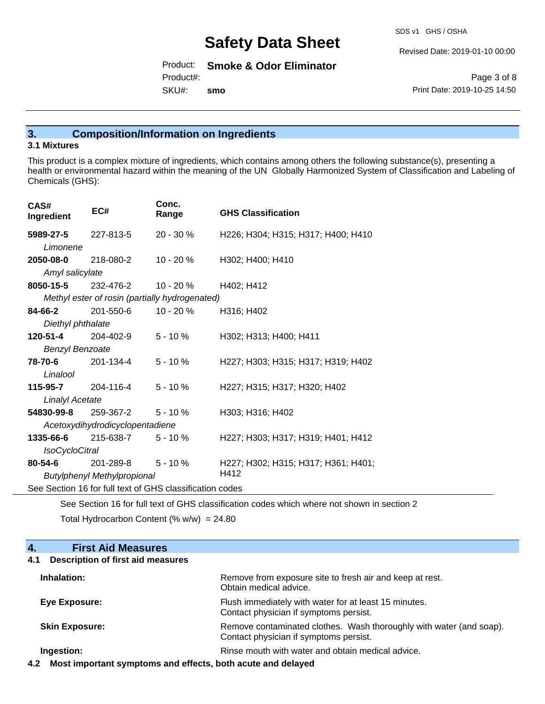SDS v1 GHS / OSHA

Revised Date: 2019-01-10 00:00

Product: **Smoke & Odor Eliminator** SKU#: Product#: **smo**

Page 3 of 8 Print Date: 2019-10-25 14:50

## **3. Composition/Information on Ingredients**

## **3.1 Mixtures**

This product is a complex mixture of ingredients, which contains among others the following substance(s), presenting a health or environmental hazard within the meaning of the UN Globally Harmonized System of Classification and Labeling of Chemicals (GHS):

| CAS#<br>Ingredient                                       | EC#                                            | Conc.<br>Range | <b>GHS Classification</b>           |  |
|----------------------------------------------------------|------------------------------------------------|----------------|-------------------------------------|--|
| 5989-27-5                                                | 227-813-5                                      | 20 - 30 %      | H226; H304; H315; H317; H400; H410  |  |
| Limonene                                                 |                                                |                |                                     |  |
| 2050-08-0                                                | 218-080-2                                      | 10 - 20 %      | H302; H400; H410                    |  |
| Amyl salicylate                                          |                                                |                |                                     |  |
| 8050-15-5                                                | 232-476-2                                      | 10 - 20 %      | H402; H412                          |  |
|                                                          | Methyl ester of rosin (partially hydrogenated) |                |                                     |  |
| 84-66-2                                                  | 201-550-6  10 - 20 %                           |                | H316; H402                          |  |
| Diethyl phthalate                                        |                                                |                |                                     |  |
| 120-51-4                                                 | 204-402-9                                      | $5 - 10 \%$    | H302; H313; H400; H411              |  |
| <b>Benzyl Benzoate</b>                                   |                                                |                |                                     |  |
| <b>78-70-6</b> 201-134-4                                 |                                                | $5 - 10 \%$    | H227; H303; H315; H317; H319; H402  |  |
| Linalool                                                 |                                                |                |                                     |  |
| <b>115-95-7</b> 204-116-4                                |                                                | $5 - 10%$      | H227; H315; H317; H320; H402        |  |
| <b>Linalyl Acetate</b>                                   |                                                |                |                                     |  |
| 54830-99-8                                               | 259-367-2 5 - 10 %                             |                | H303; H316; H402                    |  |
| Acetoxydihydrodicyclopentadiene                          |                                                |                |                                     |  |
| 1335-66-6                                                | $215-638-7$ 5 - 10 %                           |                | H227; H303; H317; H319; H401; H412  |  |
| <b>IsoCycloCitral</b>                                    |                                                |                |                                     |  |
| $80 - 54 - 6$                                            | 201-289-8                                      | $5 - 10 \%$    | H227; H302; H315; H317; H361; H401; |  |
| H412<br><b>Butylphenyl Methylpropional</b>               |                                                |                |                                     |  |
| See Section 16 for full text of GHS classification codes |                                                |                |                                     |  |

See Section 16 for full text of GHS classification codes which where not shown in section 2

Total Hydrocarbon Content  $% w/w = 24.80$ 

| <b>First Aid Measures</b><br>4.                 |                                                                                                               |
|-------------------------------------------------|---------------------------------------------------------------------------------------------------------------|
| <b>Description of first aid measures</b><br>4.1 |                                                                                                               |
| Inhalation:                                     | Remove from exposure site to fresh air and keep at rest.<br>Obtain medical advice.                            |
| Eye Exposure:                                   | Flush immediately with water for at least 15 minutes.<br>Contact physician if symptoms persist.               |
| <b>Skin Exposure:</b>                           | Remove contaminated clothes. Wash thoroughly with water (and soap).<br>Contact physician if symptoms persist. |
| Ingestion:                                      | Rinse mouth with water and obtain medical advice.                                                             |

**4.2 Most important symptoms and effects, both acute and delayed**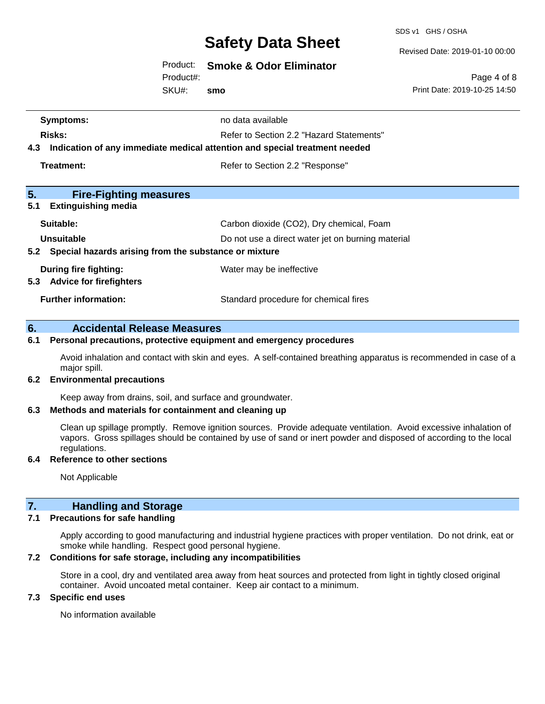SDS v1 GHS / OSHA

Revised Date: 2019-01-10 00:00

Product: **Smoke & Odor Eliminator**

Product#:

SKU#: **smo**

Page 4 of 8 Print Date: 2019-10-25 14:50

| Symptoms:                                                                         | no data available                        |  |
|-----------------------------------------------------------------------------------|------------------------------------------|--|
| Refer to Section 2.2 "Hazard Statements"<br>Risks:                                |                                          |  |
| Indication of any immediate medical attention and special treatment needed<br>4.3 |                                          |  |
| Treatment:                                                                        | Refer to Section 2.2 "Response"          |  |
|                                                                                   |                                          |  |
| 5.<br><b>Fire-Fighting measures</b>                                               |                                          |  |
| <b>Extinguishing media</b><br>5.1                                                 |                                          |  |
| Suitable:                                                                         | Carbon dioxide (CO2), Dry chemical, Foam |  |
| Unsuitable<br>Do not use a direct water jet on burning material                   |                                          |  |
| Special hazards arising from the substance or mixture<br>5.2                      |                                          |  |
| During fire fighting:                                                             | Water may be ineffective                 |  |
| <b>Advice for firefighters</b><br>5.3                                             |                                          |  |
| <b>Further information:</b>                                                       | Standard procedure for chemical fires    |  |
|                                                                                   |                                          |  |

## **6. Accidental Release Measures**

#### **6.1 Personal precautions, protective equipment and emergency procedures**

Avoid inhalation and contact with skin and eyes. A self-contained breathing apparatus is recommended in case of a major spill.

#### **6.2 Environmental precautions**

Keep away from drains, soil, and surface and groundwater.

## **6.3 Methods and materials for containment and cleaning up**

Clean up spillage promptly. Remove ignition sources. Provide adequate ventilation. Avoid excessive inhalation of vapors. Gross spillages should be contained by use of sand or inert powder and disposed of according to the local regulations.

## **6.4 Reference to other sections**

Not Applicable

## **7. Handling and Storage**

#### **7.1 Precautions for safe handling**

Apply according to good manufacturing and industrial hygiene practices with proper ventilation. Do not drink, eat or smoke while handling. Respect good personal hygiene.

## **7.2 Conditions for safe storage, including any incompatibilities**

Store in a cool, dry and ventilated area away from heat sources and protected from light in tightly closed original container. Avoid uncoated metal container. Keep air contact to a minimum.

## **7.3 Specific end uses**

No information available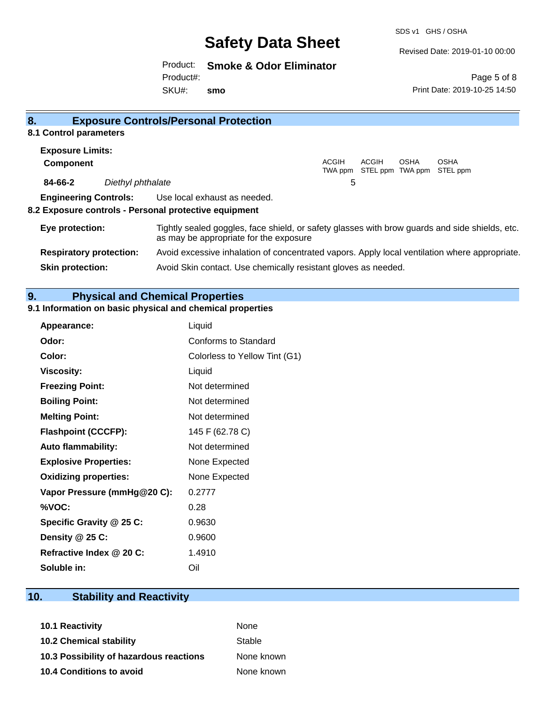SDS v1 GHS / OSHA

Revised Date: 2019-01-10 00:00

Product: **Smoke & Odor Eliminator** SKU#: Product#: **smo**

Page 5 of 8 Print Date: 2019-10-25 14:50

| 8 <sub>1</sub>                 |                   | <b>Exposure Controls/Personal Protection</b>                                                                                             |                         |       |      |                                   |
|--------------------------------|-------------------|------------------------------------------------------------------------------------------------------------------------------------------|-------------------------|-------|------|-----------------------------------|
| 8.1 Control parameters         |                   |                                                                                                                                          |                         |       |      |                                   |
| <b>Exposure Limits:</b>        |                   |                                                                                                                                          |                         |       |      |                                   |
| <b>Component</b>               |                   |                                                                                                                                          | <b>ACGIH</b><br>TWA ppm | ACGIH | OSHA | OSHA<br>STEL ppm TWA ppm STEL ppm |
| 84-66-2                        | Diethyl phthalate |                                                                                                                                          | 5                       |       |      |                                   |
| <b>Engineering Controls:</b>   |                   | Use local exhaust as needed.                                                                                                             |                         |       |      |                                   |
|                                |                   | 8.2 Exposure controls - Personal protective equipment                                                                                    |                         |       |      |                                   |
| Eye protection:                |                   | Tightly sealed goggles, face shield, or safety glasses with brow guards and side shields, etc.<br>as may be appropriate for the exposure |                         |       |      |                                   |
| <b>Respiratory protection:</b> |                   | Avoid excessive inhalation of concentrated vapors. Apply local ventilation where appropriate.                                            |                         |       |      |                                   |
| <b>Skin protection:</b>        |                   | Avoid Skin contact. Use chemically resistant gloves as needed.                                                                           |                         |       |      |                                   |

### **9. Physical and Chemical Properties**

#### **9.1 Information on basic physical and chemical properties**

| <b>Appearance:</b>           | Liquid                        |
|------------------------------|-------------------------------|
| Odor:                        | Conforms to Standard          |
| Color:                       | Colorless to Yellow Tint (G1) |
| <b>Viscosity:</b>            | Liquid                        |
| <b>Freezing Point:</b>       | Not determined                |
| <b>Boiling Point:</b>        | Not determined                |
| <b>Melting Point:</b>        | Not determined                |
| <b>Flashpoint (CCCFP):</b>   | 145 F (62.78 C)               |
| <b>Auto flammability:</b>    | Not determined                |
| <b>Explosive Properties:</b> | None Expected                 |
| <b>Oxidizing properties:</b> | None Expected                 |
| Vapor Pressure (mmHg@20 C):  | 0.2777                        |
| %VOC:                        | 0.28                          |
| Specific Gravity @ 25 C:     | 0.9630                        |
| Density @ 25 C:              | 0.9600                        |
| Refractive Index @ 20 C:     | 1.4910                        |
| Soluble in:                  | Oil                           |

## **10. Stability and Reactivity**

| None       |
|------------|
| Stable     |
| None known |
| None known |
|            |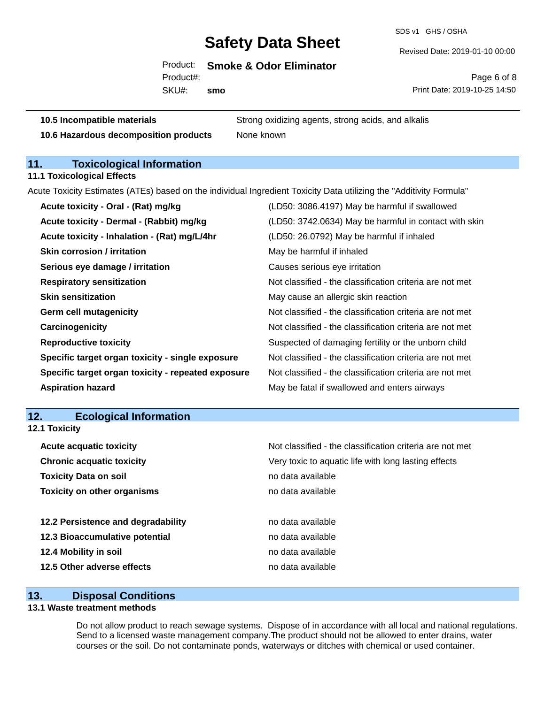SDS v1 GHS / OSHA

Revised Date: 2019-01-10 00:00

Product: **Smoke & Odor Eliminator** Product#:

SKU#: **smo**

Page 6 of 8 Print Date: 2019-10-25 14:50

**10.5 Incompatible materials** Strong oxidizing agents, strong acids, and alkalis **10.6 Hazardous decomposition products** None known

## **11. Toxicological Information**

**11.1 Toxicological Effects**

Acute Toxicity Estimates (ATEs) based on the individual Ingredient Toxicity Data utilizing the "Additivity Formula"

| Acute toxicity - Oral - (Rat) mg/kg                | (LD50: 3086.4197) May be harmful if swallowed            |
|----------------------------------------------------|----------------------------------------------------------|
| Acute toxicity - Dermal - (Rabbit) mg/kg           | (LD50: 3742.0634) May be harmful in contact with skin    |
| Acute toxicity - Inhalation - (Rat) mg/L/4hr       | (LD50: 26.0792) May be harmful if inhaled                |
| <b>Skin corrosion / irritation</b>                 | May be harmful if inhaled                                |
| Serious eye damage / irritation                    | Causes serious eye irritation                            |
| <b>Respiratory sensitization</b>                   | Not classified - the classification criteria are not met |
| <b>Skin sensitization</b>                          | May cause an allergic skin reaction                      |
| <b>Germ cell mutagenicity</b>                      | Not classified - the classification criteria are not met |
| Carcinogenicity                                    | Not classified - the classification criteria are not met |
| <b>Reproductive toxicity</b>                       | Suspected of damaging fertility or the unborn child      |
| Specific target organ toxicity - single exposure   | Not classified - the classification criteria are not met |
| Specific target organ toxicity - repeated exposure | Not classified - the classification criteria are not met |
| <b>Aspiration hazard</b>                           | May be fatal if swallowed and enters airways             |

## **12. Ecological Information**

| <b>Acute acquatic toxicity</b><br>Not classified - the classification criteria are not met<br>Very toxic to aquatic life with long lasting effects<br><b>Chronic acquatic toxicity</b><br><b>Toxicity Data on soil</b><br>no data available<br><b>Toxicity on other organisms</b><br>no data available<br>12.2 Persistence and degradability<br>no data available<br>12.3 Bioaccumulative potential<br>no data available<br>12.4 Mobility in soil<br>no data available<br>12.5 Other adverse effects<br>no data available | 12.1 Toxicity |  |
|---------------------------------------------------------------------------------------------------------------------------------------------------------------------------------------------------------------------------------------------------------------------------------------------------------------------------------------------------------------------------------------------------------------------------------------------------------------------------------------------------------------------------|---------------|--|
|                                                                                                                                                                                                                                                                                                                                                                                                                                                                                                                           |               |  |
|                                                                                                                                                                                                                                                                                                                                                                                                                                                                                                                           |               |  |
|                                                                                                                                                                                                                                                                                                                                                                                                                                                                                                                           |               |  |
|                                                                                                                                                                                                                                                                                                                                                                                                                                                                                                                           |               |  |
|                                                                                                                                                                                                                                                                                                                                                                                                                                                                                                                           |               |  |
|                                                                                                                                                                                                                                                                                                                                                                                                                                                                                                                           |               |  |
|                                                                                                                                                                                                                                                                                                                                                                                                                                                                                                                           |               |  |
|                                                                                                                                                                                                                                                                                                                                                                                                                                                                                                                           |               |  |

## **13. Disposal Conditions**

## **13.1 Waste treatment methods**

Do not allow product to reach sewage systems. Dispose of in accordance with all local and national regulations. Send to a licensed waste management company.The product should not be allowed to enter drains, water courses or the soil. Do not contaminate ponds, waterways or ditches with chemical or used container.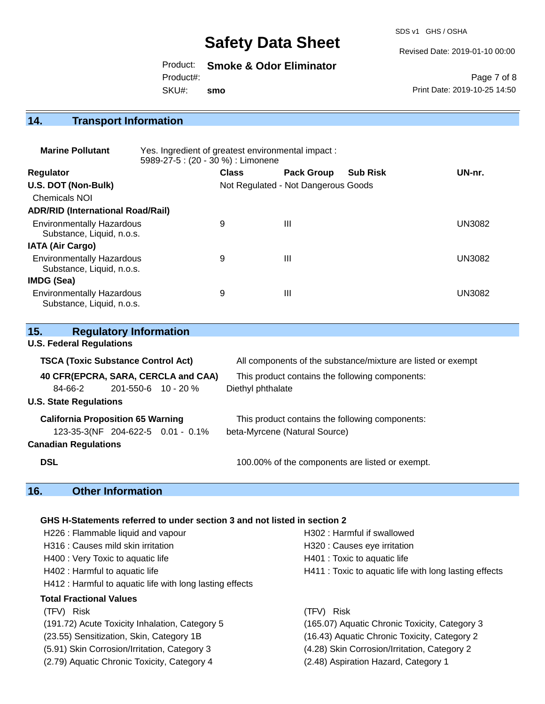SDS v1 GHS / OSHA

Revised Date: 2019-01-10 00:00

Product: **Smoke & Odor Eliminator** SKU#: Product#: **smo**

Page 7 of 8 Print Date: 2019-10-25 14:50

## **14. Transport Information**

| <b>Marine Pollutant</b>                                       | Yes. Ingredient of greatest environmental impact:<br>5989-27-5 : (20 - 30 %) : Limonene |              |                                     |                 |               |
|---------------------------------------------------------------|-----------------------------------------------------------------------------------------|--------------|-------------------------------------|-----------------|---------------|
| <b>Regulator</b>                                              |                                                                                         | <b>Class</b> | <b>Pack Group</b>                   | <b>Sub Risk</b> | UN-nr.        |
| U.S. DOT (Non-Bulk)                                           |                                                                                         |              | Not Regulated - Not Dangerous Goods |                 |               |
| Chemicals NOI                                                 |                                                                                         |              |                                     |                 |               |
| <b>ADR/RID (International Road/Rail)</b>                      |                                                                                         |              |                                     |                 |               |
| <b>Environmentally Hazardous</b><br>Substance, Liquid, n.o.s. |                                                                                         | 9            | $\mathbf{III}$                      |                 | <b>UN3082</b> |
| <b>IATA (Air Cargo)</b>                                       |                                                                                         |              |                                     |                 |               |
| <b>Environmentally Hazardous</b><br>Substance, Liquid, n.o.s. |                                                                                         | 9            | $\mathbf{III}$                      |                 | UN3082        |
| <b>IMDG (Sea)</b>                                             |                                                                                         |              |                                     |                 |               |
| <b>Environmentally Hazardous</b><br>Substance, Liquid, n.o.s. |                                                                                         | 9            | Ш                                   |                 | UN3082        |

| <b>Regulatory Information</b><br>15.      |                                                              |
|-------------------------------------------|--------------------------------------------------------------|
| <b>U.S. Federal Regulations</b>           |                                                              |
| <b>TSCA (Toxic Substance Control Act)</b> | All components of the substance/mixture are listed or exempt |
| 40 CFR(EPCRA, SARA, CERCLA and CAA)       | This product contains the following components:              |
| $201 - 550 - 6$ 10 - 20 %<br>84-66-2      | Diethyl phthalate                                            |
| <b>U.S. State Regulations</b>             |                                                              |
| <b>California Proposition 65 Warning</b>  | This product contains the following components:              |
| 123-35-3(NF 204-622-5 0.01 - 0.1%         | beta-Myrcene (Natural Source)                                |
| <b>Canadian Regulations</b>               |                                                              |
| <b>DSL</b>                                | 100.00% of the components are listed or exempt.              |

## **16. Other Information**

## **GHS H-Statements referred to under section 3 and not listed in section 2**

| H226 : Flammable liquid and vapour                       | H302 : Harmful if swallowed                            |  |  |
|----------------------------------------------------------|--------------------------------------------------------|--|--|
| H316 : Causes mild skin irritation                       | H320 : Causes eye irritation                           |  |  |
| H400 : Very Toxic to aquatic life                        | H401 : Toxic to aquatic life                           |  |  |
| H402 : Harmful to aquatic life                           | H411 : Toxic to aquatic life with long lasting effects |  |  |
| H412 : Harmful to aquatic life with long lasting effects |                                                        |  |  |
| <b>Total Fractional Values</b>                           |                                                        |  |  |
| (TFV) Risk                                               | (TFV) Risk                                             |  |  |
| (191.72) Acute Toxicity Inhalation, Category 5           | (165.07) Aquatic Chronic Toxicity, Category 3          |  |  |
| (23.55) Sensitization, Skin, Category 1B                 | (16.43) Aquatic Chronic Toxicity, Category 2           |  |  |
| (5.91) Skin Corrosion/Irritation, Category 3             | (4.28) Skin Corrosion/Irritation, Category 2           |  |  |
| (2.79) Aquatic Chronic Toxicity, Category 4              | (2.48) Aspiration Hazard, Category 1                   |  |  |